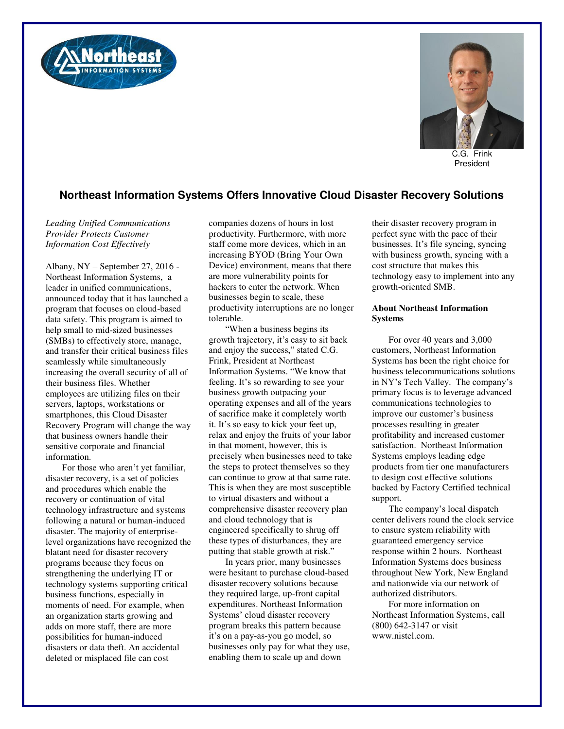



C.G. Frink President

## **Northeast Information Systems Offers Innovative Cloud Disaster Recovery Solutions**

*Leading Unified Communications Provider Protects Customer Information Cost Effectively* 

Albany, NY – September 27, 2016 - Northeast Information Systems, a leader in unified communications, announced today that it has launched a program that focuses on cloud-based data safety. This program is aimed to help small to mid-sized businesses (SMBs) to effectively store, manage, and transfer their critical business files seamlessly while simultaneously increasing the overall security of all of their business files. Whether employees are utilizing files on their servers, laptops, workstations or smartphones, this Cloud Disaster Recovery Program will change the way that business owners handle their sensitive corporate and financial information.

For those who aren't yet familiar, disaster recovery, is a set of policies and procedures which enable the recovery or continuation of vital technology infrastructure and systems following a natural or human-induced disaster. The majority of enterpriselevel organizations have recognized the blatant need for disaster recovery programs because they focus on strengthening the underlying IT or technology systems supporting critical business functions, especially in moments of need. For example, when an organization starts growing and adds on more staff, there are more possibilities for human-induced disasters or data theft. An accidental deleted or misplaced file can cost

companies dozens of hours in lost productivity. Furthermore, with more staff come more devices, which in an increasing BYOD (Bring Your Own Device) environment, means that there are more vulnerability points for hackers to enter the network. When businesses begin to scale, these productivity interruptions are no longer tolerable.

"When a business begins its growth trajectory, it's easy to sit back and enjoy the success," stated C.G. Frink, President at Northeast Information Systems. "We know that feeling. It's so rewarding to see your business growth outpacing your operating expenses and all of the years of sacrifice make it completely worth it. It's so easy to kick your feet up, relax and enjoy the fruits of your labor in that moment, however, this is precisely when businesses need to take the steps to protect themselves so they can continue to grow at that same rate. This is when they are most susceptible to virtual disasters and without a comprehensive disaster recovery plan and cloud technology that is engineered specifically to shrug off these types of disturbances, they are putting that stable growth at risk."

In years prior, many businesses were hesitant to purchase cloud-based disaster recovery solutions because they required large, up-front capital expenditures. Northeast Information Systems' cloud disaster recovery program breaks this pattern because it's on a pay-as-you go model, so businesses only pay for what they use, enabling them to scale up and down

their disaster recovery program in perfect sync with the pace of their businesses. It's file syncing, syncing with business growth, syncing with a cost structure that makes this technology easy to implement into any growth-oriented SMB.

## **About Northeast Information Systems**

For over 40 years and 3,000 customers, Northeast Information Systems has been the right choice for business telecommunications solutions in NY's Tech Valley. The company's primary focus is to leverage advanced communications technologies to improve our customer's business processes resulting in greater profitability and increased customer satisfaction. Northeast Information Systems employs leading edge products from tier one manufacturers to design cost effective solutions backed by Factory Certified technical support.

The company's local dispatch center delivers round the clock service to ensure system reliability with guaranteed emergency service response within 2 hours. Northeast Information Systems does business throughout New York, New England and nationwide via our network of authorized distributors.

For more information on Northeast Information Systems, call (800) 642-3147 or visit www.nistel.com.